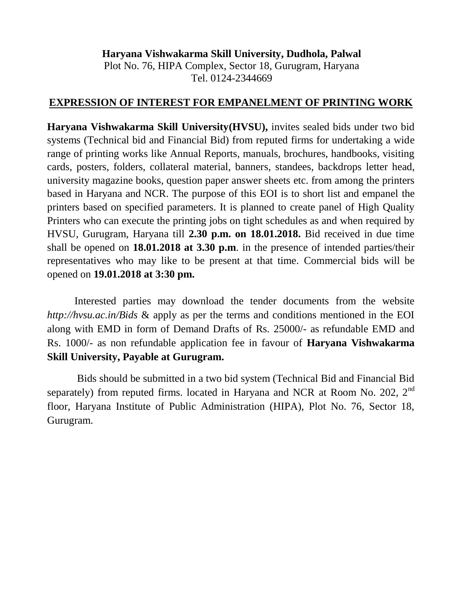**Haryana Vishwakarma Skill University, Dudhola, Palwal** Plot No. 76, HIPA Complex, Sector 18, Gurugram, Haryana Tel. 0124-2344669

#### **EXPRESSION OF INTEREST FOR EMPANELMENT OF PRINTING WORK**

**Haryana Vishwakarma Skill University(HVSU),** invites sealed bids under two bid systems (Technical bid and Financial Bid) from reputed firms for undertaking a wide range of printing works like Annual Reports, manuals, brochures, handbooks, visiting cards, posters, folders, collateral material, banners, standees, backdrops letter head, university magazine books, question paper answer sheets etc. from among the printers based in Haryana and NCR. The purpose of this EOI is to short list and empanel the printers based on specified parameters. It is planned to create panel of High Quality Printers who can execute the printing jobs on tight schedules as and when required by HVSU, Gurugram, Haryana till **2.30 p.m. on 18.01.2018.** Bid received in due time shall be opened on **18.01.2018 at 3.30 p.m**. in the presence of intended parties/their representatives who may like to be present at that time. Commercial bids will be opened on **19.01.2018 at 3:30 pm.**

Interested parties may download the tender documents from the website *http://hvsu.ac.in/Bids* & apply as per the terms and conditions mentioned in the EOI along with EMD in form of Demand Drafts of Rs. 25000/- as refundable EMD and Rs. 1000/- as non refundable application fee in favour of **Haryana Vishwakarma Skill University, Payable at Gurugram.**

Bids should be submitted in a two bid system (Technical Bid and Financial Bid separately) from reputed firms. located in Haryana and NCR at Room No. 202, 2<sup>nd</sup> floor, Haryana Institute of Public Administration (HIPA), Plot No. 76, Sector 18, Gurugram.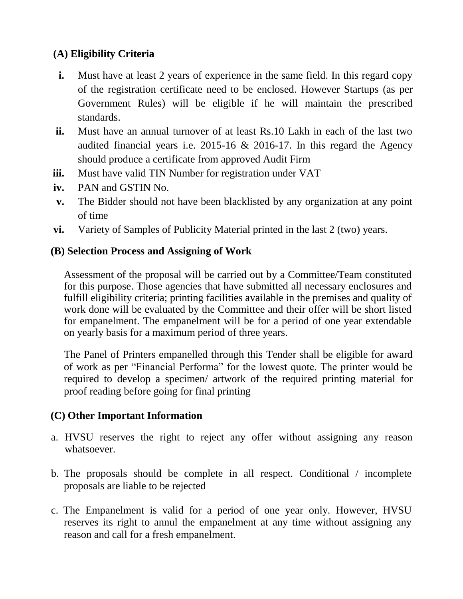# **(A) Eligibility Criteria**

- **i.** Must have at least 2 years of experience in the same field. In this regard copy of the registration certificate need to be enclosed. However Startups (as per Government Rules) will be eligible if he will maintain the prescribed standards.
- **ii.** Must have an annual turnover of at least Rs.10 Lakh in each of the last two audited financial years i.e. 2015-16 & 2016-17. In this regard the Agency should produce a certificate from approved Audit Firm
- **iii.** Must have valid TIN Number for registration under VAT
- **iv.** PAN and GSTIN No.
- **v.** The Bidder should not have been blacklisted by any organization at any point of time
- **vi.** Variety of Samples of Publicity Material printed in the last 2 (two) years.

### **(B) Selection Process and Assigning of Work**

Assessment of the proposal will be carried out by a Committee/Team constituted for this purpose. Those agencies that have submitted all necessary enclosures and fulfill eligibility criteria; printing facilities available in the premises and quality of work done will be evaluated by the Committee and their offer will be short listed for empanelment. The empanelment will be for a period of one year extendable on yearly basis for a maximum period of three years.

The Panel of Printers empanelled through this Tender shall be eligible for award of work as per "Financial Performa" for the lowest quote. The printer would be required to develop a specimen/ artwork of the required printing material for proof reading before going for final printing

# **(C) Other Important Information**

- a. HVSU reserves the right to reject any offer without assigning any reason whatsoever.
- b. The proposals should be complete in all respect. Conditional / incomplete proposals are liable to be rejected
- c. The Empanelment is valid for a period of one year only. However, HVSU reserves its right to annul the empanelment at any time without assigning any reason and call for a fresh empanelment.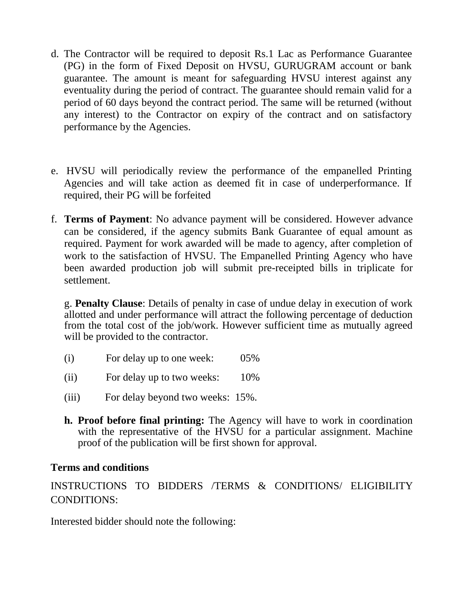- d. The Contractor will be required to deposit Rs.1 Lac as Performance Guarantee (PG) in the form of Fixed Deposit on HVSU, GURUGRAM account or bank guarantee. The amount is meant for safeguarding HVSU interest against any eventuality during the period of contract. The guarantee should remain valid for a period of 60 days beyond the contract period. The same will be returned (without any interest) to the Contractor on expiry of the contract and on satisfactory performance by the Agencies.
- e. HVSU will periodically review the performance of the empanelled Printing Agencies and will take action as deemed fit in case of underperformance. If required, their PG will be forfeited
- f. **Terms of Payment**: No advance payment will be considered. However advance can be considered, if the agency submits Bank Guarantee of equal amount as required. Payment for work awarded will be made to agency, after completion of work to the satisfaction of HVSU. The Empanelled Printing Agency who have been awarded production job will submit pre-receipted bills in triplicate for settlement.

g. **Penalty Clause**: Details of penalty in case of undue delay in execution of work allotted and under performance will attract the following percentage of deduction from the total cost of the job/work. However sufficient time as mutually agreed will be provided to the contractor.

- (i) For delay up to one week: 05%
- (ii) For delay up to two weeks: 10%
- (iii) For delay beyond two weeks: 15%.
- **h. Proof before final printing:** The Agency will have to work in coordination with the representative of the HVSU for a particular assignment. Machine proof of the publication will be first shown for approval.

#### **Terms and conditions**

INSTRUCTIONS TO BIDDERS /TERMS & CONDITIONS/ ELIGIBILITY CONDITIONS:

Interested bidder should note the following: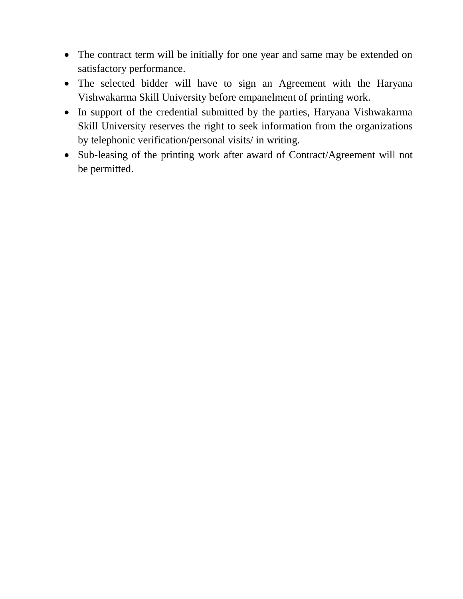- The contract term will be initially for one year and same may be extended on satisfactory performance.
- The selected bidder will have to sign an Agreement with the Haryana Vishwakarma Skill University before empanelment of printing work.
- In support of the credential submitted by the parties, Haryana Vishwakarma Skill University reserves the right to seek information from the organizations by telephonic verification/personal visits/ in writing.
- Sub-leasing of the printing work after award of Contract/Agreement will not be permitted.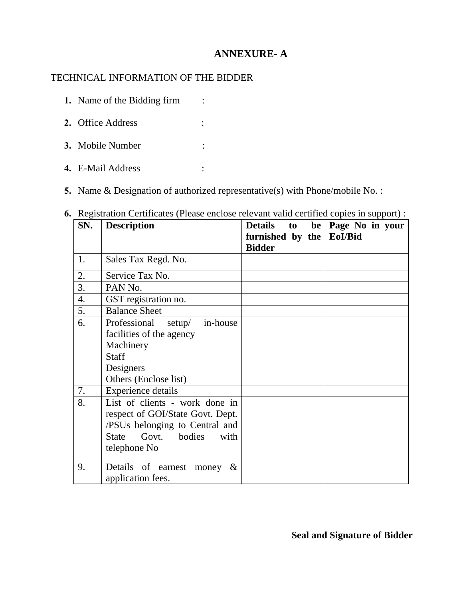## **ANNEXURE- A**

### TECHNICAL INFORMATION OF THE BIDDER

| 2. Office Address |  |
|-------------------|--|
| 3. Mobile Number  |  |

**1.** Name of the Bidding firm :

- **4.** E-Mail Address :
- **5.** Name & Designation of authorized representative(s) with Phone/mobile No. :

| -- 0-<br>SN. | <b>Description</b>                                    | Details to               | be   Page No in your |
|--------------|-------------------------------------------------------|--------------------------|----------------------|
|              |                                                       | furnished by the EoI/Bid |                      |
|              |                                                       | <b>Bidder</b>            |                      |
| 1.           | Sales Tax Regd. No.                                   |                          |                      |
| 2.           | Service Tax No.                                       |                          |                      |
| 3.           | PAN No.                                               |                          |                      |
| 4.           | GST registration no.                                  |                          |                      |
| 5.           | <b>Balance Sheet</b>                                  |                          |                      |
| 6.           | Professional setup/ in-house                          |                          |                      |
|              | facilities of the agency                              |                          |                      |
|              | Machinery                                             |                          |                      |
|              | <b>Staff</b>                                          |                          |                      |
|              | Designers                                             |                          |                      |
|              | Others (Enclose list)                                 |                          |                      |
| 7.           | <b>Experience details</b>                             |                          |                      |
| 8.           | List of clients - work done in                        |                          |                      |
|              | respect of GOI/State Govt. Dept.                      |                          |                      |
|              | /PSUs belonging to Central and                        |                          |                      |
|              | Govt. bodies<br><b>State</b><br>with                  |                          |                      |
|              | telephone No                                          |                          |                      |
| 9.           | Details of earnest money<br>$\&$<br>application fees. |                          |                      |

**6.** Registration Certificates (Please enclose relevant valid certified copies in support) :